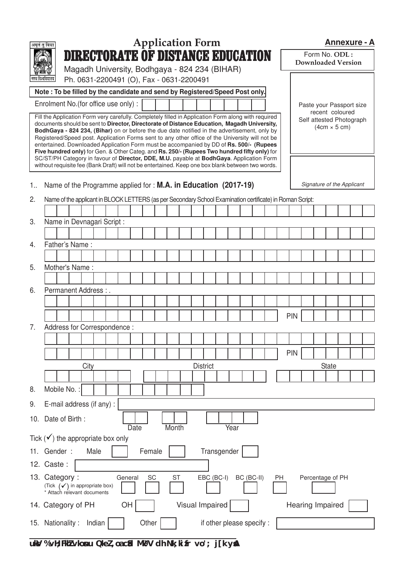|                                      | <b>Application Form</b><br>अमृतं तु विद्या                                                                                                                                                                                                                                                                                                                                                                                                                                                                                                                                                                                                                                                                                                                                                                                                                              | <b>Annexure - A</b>                        |  |  |  |  |  |  |
|--------------------------------------|-------------------------------------------------------------------------------------------------------------------------------------------------------------------------------------------------------------------------------------------------------------------------------------------------------------------------------------------------------------------------------------------------------------------------------------------------------------------------------------------------------------------------------------------------------------------------------------------------------------------------------------------------------------------------------------------------------------------------------------------------------------------------------------------------------------------------------------------------------------------------|--------------------------------------------|--|--|--|--|--|--|
|                                      | <b>DIRECTORATE OF DISTANCE EDUCATION</b>                                                                                                                                                                                                                                                                                                                                                                                                                                                                                                                                                                                                                                                                                                                                                                                                                                | Form No. ODL:<br><b>Downloaded Version</b> |  |  |  |  |  |  |
|                                      | Magadh University, Bodhgaya - 824 234 (BIHAR)<br>Ph. 0631-2200491 (O), Fax - 0631-2200491<br>ागध विश्वावद्यालय                                                                                                                                                                                                                                                                                                                                                                                                                                                                                                                                                                                                                                                                                                                                                          |                                            |  |  |  |  |  |  |
|                                      | Note: To be filled by the candidate and send by Registered/Speed Post only.                                                                                                                                                                                                                                                                                                                                                                                                                                                                                                                                                                                                                                                                                                                                                                                             |                                            |  |  |  |  |  |  |
|                                      | Enrolment No. (for office use only) :<br>Paste your Passport size                                                                                                                                                                                                                                                                                                                                                                                                                                                                                                                                                                                                                                                                                                                                                                                                       |                                            |  |  |  |  |  |  |
|                                      | recent coloured<br>Fill the Application Form very carefully. Completely filled in Application Form along with required<br>Self attested Photograph<br>documents should be sent to Director, Directorate of Distance Education, Magadh University,<br>$(4cm \times 5 cm)$<br>BodhGaya - 824 234, (Bihar) on or before the due date notified in the advertisement, only by<br>Registered/Speed post. Application Forms sent to any other office of the University will not be<br>entertained. Downloaded Application Form must be accompanied by DD of Rs. 500/- (Rupees<br>Five hundred only) for Gen. & Other Categ. and Rs. 250/- (Rupees Two hundred fifty only) for<br>SC/ST/PH Category in favour of Director, DDE, M.U. payable at BodhGaya. Application Form<br>without requisite fee (Bank Draft) will not be entertained. Keep one box blank between two words. |                                            |  |  |  |  |  |  |
| 1                                    | Name of the Programme applied for : M.A. in Education (2017-19)                                                                                                                                                                                                                                                                                                                                                                                                                                                                                                                                                                                                                                                                                                                                                                                                         | Signature of the Applicant                 |  |  |  |  |  |  |
| 2.                                   | Name of the applicant in BLOCK LETTERS (as per Secondary School Examination certificate) in Roman Script:                                                                                                                                                                                                                                                                                                                                                                                                                                                                                                                                                                                                                                                                                                                                                               |                                            |  |  |  |  |  |  |
|                                      |                                                                                                                                                                                                                                                                                                                                                                                                                                                                                                                                                                                                                                                                                                                                                                                                                                                                         |                                            |  |  |  |  |  |  |
| 3.                                   | Name in Devnagari Script :                                                                                                                                                                                                                                                                                                                                                                                                                                                                                                                                                                                                                                                                                                                                                                                                                                              |                                            |  |  |  |  |  |  |
|                                      |                                                                                                                                                                                                                                                                                                                                                                                                                                                                                                                                                                                                                                                                                                                                                                                                                                                                         |                                            |  |  |  |  |  |  |
| 4.                                   | Father's Name:                                                                                                                                                                                                                                                                                                                                                                                                                                                                                                                                                                                                                                                                                                                                                                                                                                                          |                                            |  |  |  |  |  |  |
|                                      |                                                                                                                                                                                                                                                                                                                                                                                                                                                                                                                                                                                                                                                                                                                                                                                                                                                                         |                                            |  |  |  |  |  |  |
| 5.                                   | Mother's Name:                                                                                                                                                                                                                                                                                                                                                                                                                                                                                                                                                                                                                                                                                                                                                                                                                                                          |                                            |  |  |  |  |  |  |
| 6.                                   | Permanent Address:                                                                                                                                                                                                                                                                                                                                                                                                                                                                                                                                                                                                                                                                                                                                                                                                                                                      |                                            |  |  |  |  |  |  |
|                                      |                                                                                                                                                                                                                                                                                                                                                                                                                                                                                                                                                                                                                                                                                                                                                                                                                                                                         |                                            |  |  |  |  |  |  |
|                                      |                                                                                                                                                                                                                                                                                                                                                                                                                                                                                                                                                                                                                                                                                                                                                                                                                                                                         | <b>PIN</b>                                 |  |  |  |  |  |  |
| 7.                                   | Address for Correspondence:                                                                                                                                                                                                                                                                                                                                                                                                                                                                                                                                                                                                                                                                                                                                                                                                                                             |                                            |  |  |  |  |  |  |
|                                      |                                                                                                                                                                                                                                                                                                                                                                                                                                                                                                                                                                                                                                                                                                                                                                                                                                                                         |                                            |  |  |  |  |  |  |
|                                      |                                                                                                                                                                                                                                                                                                                                                                                                                                                                                                                                                                                                                                                                                                                                                                                                                                                                         | <b>PIN</b>                                 |  |  |  |  |  |  |
|                                      | City<br><b>District</b>                                                                                                                                                                                                                                                                                                                                                                                                                                                                                                                                                                                                                                                                                                                                                                                                                                                 | <b>State</b>                               |  |  |  |  |  |  |
|                                      |                                                                                                                                                                                                                                                                                                                                                                                                                                                                                                                                                                                                                                                                                                                                                                                                                                                                         |                                            |  |  |  |  |  |  |
| 8.                                   | Mobile No.:                                                                                                                                                                                                                                                                                                                                                                                                                                                                                                                                                                                                                                                                                                                                                                                                                                                             |                                            |  |  |  |  |  |  |
| 9.                                   | E-mail address (if any) :                                                                                                                                                                                                                                                                                                                                                                                                                                                                                                                                                                                                                                                                                                                                                                                                                                               |                                            |  |  |  |  |  |  |
|                                      | 10. Date of Birth:<br>Year<br>Date<br>Month                                                                                                                                                                                                                                                                                                                                                                                                                                                                                                                                                                                                                                                                                                                                                                                                                             |                                            |  |  |  |  |  |  |
| Tick $(v')$ the appropriate box only |                                                                                                                                                                                                                                                                                                                                                                                                                                                                                                                                                                                                                                                                                                                                                                                                                                                                         |                                            |  |  |  |  |  |  |
|                                      | Transgender<br>11. Gender:<br>Female<br>Male                                                                                                                                                                                                                                                                                                                                                                                                                                                                                                                                                                                                                                                                                                                                                                                                                            |                                            |  |  |  |  |  |  |
|                                      | 12. Caste:                                                                                                                                                                                                                                                                                                                                                                                                                                                                                                                                                                                                                                                                                                                                                                                                                                                              |                                            |  |  |  |  |  |  |
|                                      | 13. Category:<br>EBC (BC-I)<br>General<br>SC<br><b>ST</b><br>BC (BC-II)<br>Percentage of PH<br>PH<br>(Tick $(\checkmark)$ in appropriate box)<br>* Attach relevant documents                                                                                                                                                                                                                                                                                                                                                                                                                                                                                                                                                                                                                                                                                            |                                            |  |  |  |  |  |  |
|                                      | Visual Impaired<br>OH<br>Hearing Impaired<br>14. Category of PH                                                                                                                                                                                                                                                                                                                                                                                                                                                                                                                                                                                                                                                                                                                                                                                                         |                                            |  |  |  |  |  |  |
|                                      | Other<br>if other please specify :<br>15. Nationality:<br>Indian                                                                                                                                                                                                                                                                                                                                                                                                                                                                                                                                                                                                                                                                                                                                                                                                        |                                            |  |  |  |  |  |  |

**uksV % vH;FkhZ vkosnu QkeZ ,oa cSad Mªk¶V dh Nk;kizfr vo'; j[k ysaA**